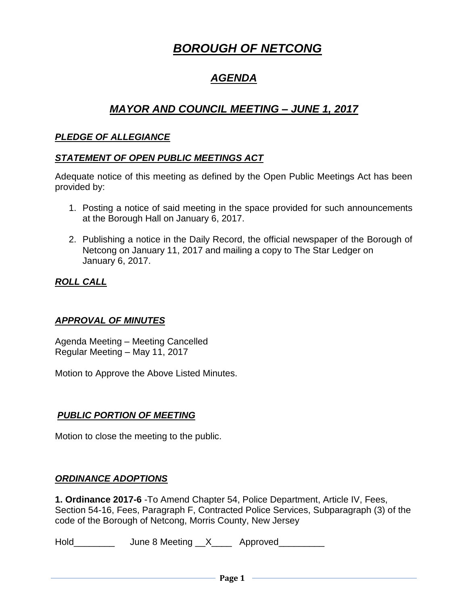# *BOROUGH OF NETCONG*

# *AGENDA*

# *MAYOR AND COUNCIL MEETING – JUNE 1, 2017*

#### *PLEDGE OF ALLEGIANCE*

#### *STATEMENT OF OPEN PUBLIC MEETINGS ACT*

Adequate notice of this meeting as defined by the Open Public Meetings Act has been provided by:

- 1. Posting a notice of said meeting in the space provided for such announcements at the Borough Hall on January 6, 2017.
- 2. Publishing a notice in the Daily Record, the official newspaper of the Borough of Netcong on January 11, 2017 and mailing a copy to The Star Ledger on January 6, 2017.

## *ROLL CALL*

#### *APPROVAL OF MINUTES*

Agenda Meeting – Meeting Cancelled Regular Meeting – May 11, 2017

Motion to Approve the Above Listed Minutes.

#### *PUBLIC PORTION OF MEETING*

Motion to close the meeting to the public.

#### *ORDINANCE ADOPTIONS*

**1. Ordinance 2017-6** -To Amend Chapter 54, Police Department, Article IV, Fees, Section 54-16, Fees, Paragraph F, Contracted Police Services, Subparagraph (3) of the code of the Borough of Netcong, Morris County, New Jersey

Hold\_\_\_\_\_\_\_\_\_\_\_ June 8 Meeting \_\_X\_\_\_\_\_ Approved\_\_\_\_\_\_\_\_\_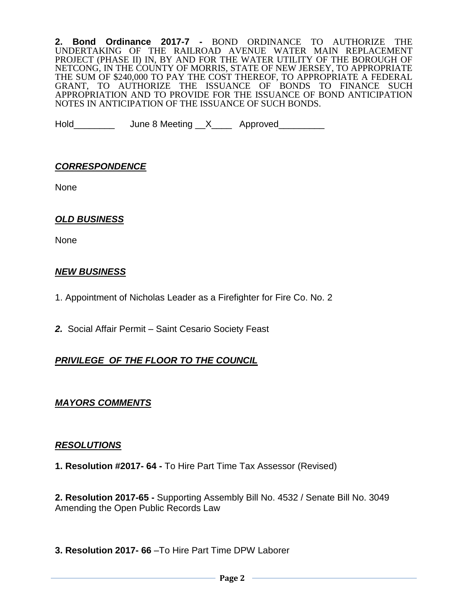**2. Bond Ordinance 2017-7 -** BOND ORDINANCE TO AUTHORIZE THE UNDERTAKING OF THE RAILROAD AVENUE WATER MAIN REPLACEMENT PROJECT (PHASE II) IN, BY AND FOR THE WATER UTILITY OF THE BOROUGH OF NETCONG, IN THE COUNTY OF MORRIS, STATE OF NEW JERSEY, TO APPROPRIATE THE SUM OF \$240,000 TO PAY THE COST THEREOF, TO APPROPRIATE A FEDERAL GRANT, TO AUTHORIZE THE ISSUANCE OF BONDS TO FINANCE SUCH APPROPRIATION AND TO PROVIDE FOR THE ISSUANCE OF BOND ANTICIPATION NOTES IN ANTICIPATION OF THE ISSUANCE OF SUCH BONDS.

Hold June 8 Meeting X Approved

#### *CORRESPONDENCE*

None

#### *OLD BUSINESS*

None

#### *NEW BUSINESS*

- 1. Appointment of Nicholas Leader as a Firefighter for Fire Co. No. 2
- *2.* Social Affair Permit Saint Cesario Society Feast

# *PRIVILEGE OF THE FLOOR TO THE COUNCIL*

#### *MAYORS COMMENTS*

#### *RESOLUTIONS*

**1. Resolution #2017- 64 -** To Hire Part Time Tax Assessor (Revised)

**2. Resolution 2017-65 -** Supporting Assembly Bill No. 4532 / Senate Bill No. 3049 Amending the Open Public Records Law

**3. Resolution 2017- 66** –To Hire Part Time DPW Laborer